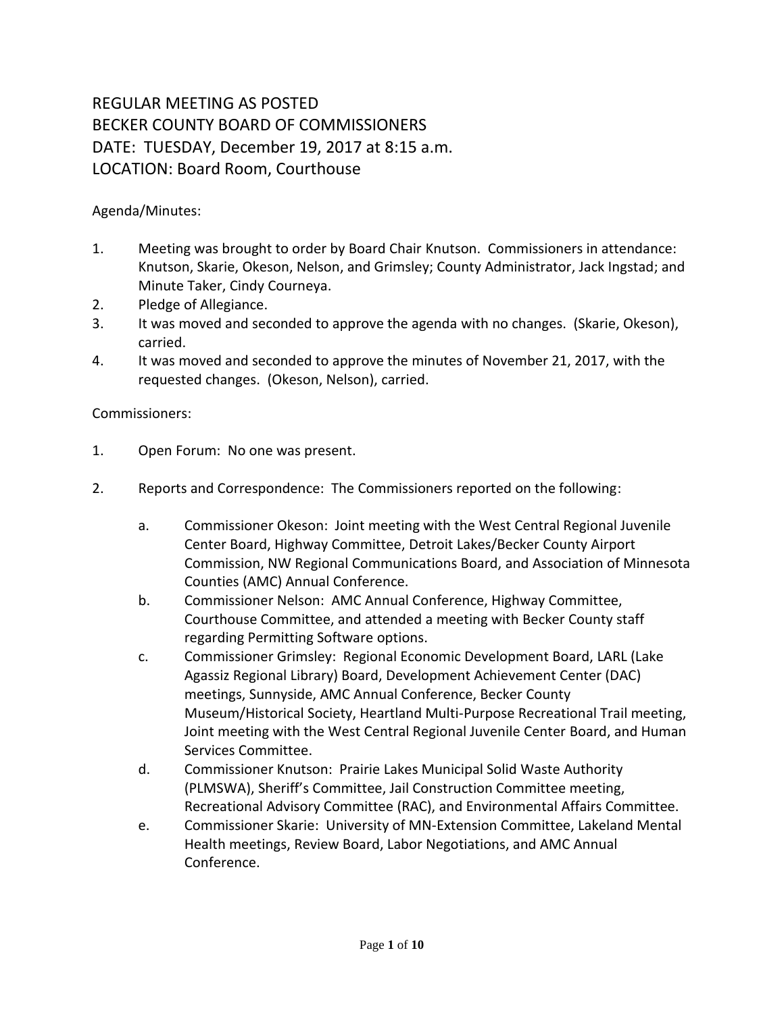## REGULAR MEETING AS POSTED BECKER COUNTY BOARD OF COMMISSIONERS DATE: TUESDAY, December 19, 2017 at 8:15 a.m. LOCATION: Board Room, Courthouse

Agenda/Minutes:

- 1. Meeting was brought to order by Board Chair Knutson. Commissioners in attendance: Knutson, Skarie, Okeson, Nelson, and Grimsley; County Administrator, Jack Ingstad; and Minute Taker, Cindy Courneya.
- 2. Pledge of Allegiance.
- 3. It was moved and seconded to approve the agenda with no changes. (Skarie, Okeson), carried.
- 4. It was moved and seconded to approve the minutes of November 21, 2017, with the requested changes. (Okeson, Nelson), carried.

## Commissioners:

- 1. Open Forum: No one was present.
- 2. Reports and Correspondence: The Commissioners reported on the following:
	- a. Commissioner Okeson: Joint meeting with the West Central Regional Juvenile Center Board, Highway Committee, Detroit Lakes/Becker County Airport Commission, NW Regional Communications Board, and Association of Minnesota Counties (AMC) Annual Conference.
	- b. Commissioner Nelson: AMC Annual Conference, Highway Committee, Courthouse Committee, and attended a meeting with Becker County staff regarding Permitting Software options.
	- c. Commissioner Grimsley: Regional Economic Development Board, LARL (Lake Agassiz Regional Library) Board, Development Achievement Center (DAC) meetings, Sunnyside, AMC Annual Conference, Becker County Museum/Historical Society, Heartland Multi-Purpose Recreational Trail meeting, Joint meeting with the West Central Regional Juvenile Center Board, and Human Services Committee.
	- d. Commissioner Knutson: Prairie Lakes Municipal Solid Waste Authority (PLMSWA), Sheriff's Committee, Jail Construction Committee meeting, Recreational Advisory Committee (RAC), and Environmental Affairs Committee.
	- e. Commissioner Skarie: University of MN-Extension Committee, Lakeland Mental Health meetings, Review Board, Labor Negotiations, and AMC Annual Conference.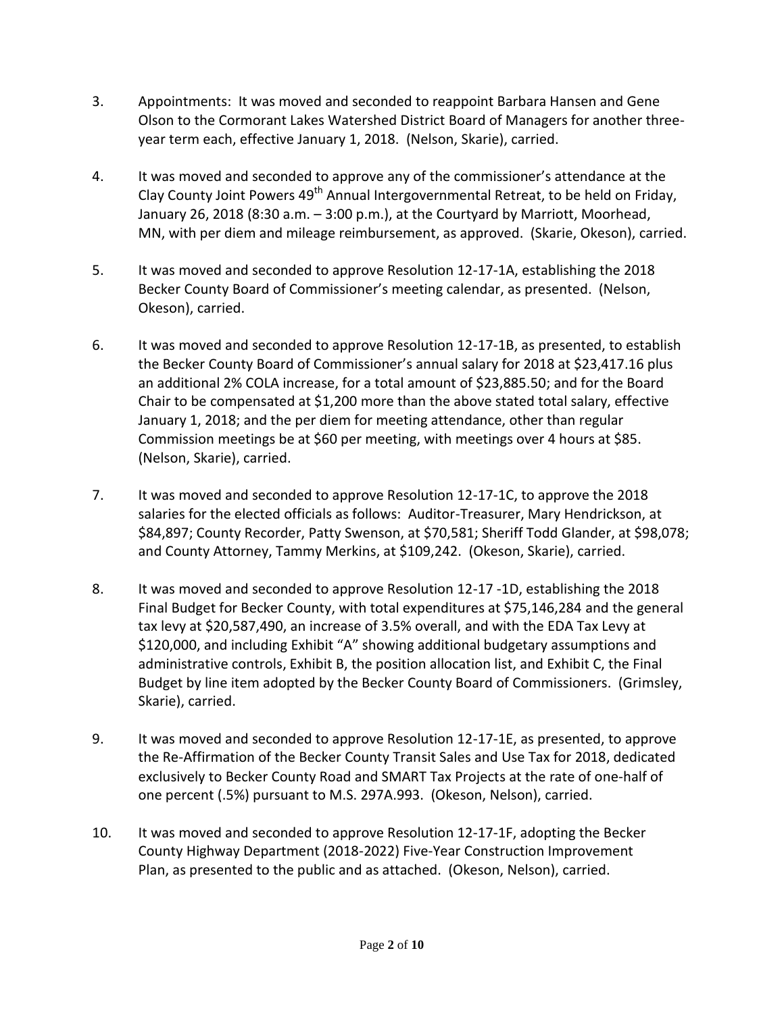- 3. Appointments: It was moved and seconded to reappoint Barbara Hansen and Gene Olson to the Cormorant Lakes Watershed District Board of Managers for another threeyear term each, effective January 1, 2018. (Nelson, Skarie), carried.
- 4. It was moved and seconded to approve any of the commissioner's attendance at the Clay County Joint Powers  $49<sup>th</sup>$  Annual Intergovernmental Retreat, to be held on Friday, January 26, 2018 (8:30 a.m. – 3:00 p.m.), at the Courtyard by Marriott, Moorhead, MN, with per diem and mileage reimbursement, as approved. (Skarie, Okeson), carried.
- 5. It was moved and seconded to approve Resolution 12-17-1A, establishing the 2018 Becker County Board of Commissioner's meeting calendar, as presented. (Nelson, Okeson), carried.
- 6. It was moved and seconded to approve Resolution 12-17-1B, as presented, to establish the Becker County Board of Commissioner's annual salary for 2018 at \$23,417.16 plus an additional 2% COLA increase, for a total amount of \$23,885.50; and for the Board Chair to be compensated at \$1,200 more than the above stated total salary, effective January 1, 2018; and the per diem for meeting attendance, other than regular Commission meetings be at \$60 per meeting, with meetings over 4 hours at \$85. (Nelson, Skarie), carried.
- 7. It was moved and seconded to approve Resolution 12-17-1C, to approve the 2018 salaries for the elected officials as follows: Auditor-Treasurer, Mary Hendrickson, at \$84,897; County Recorder, Patty Swenson, at \$70,581; Sheriff Todd Glander, at \$98,078; and County Attorney, Tammy Merkins, at \$109,242. (Okeson, Skarie), carried.
- 8. It was moved and seconded to approve Resolution 12-17 -1D, establishing the 2018 Final Budget for Becker County, with total expenditures at \$75,146,284 and the general tax levy at \$20,587,490, an increase of 3.5% overall, and with the EDA Tax Levy at \$120,000, and including Exhibit "A" showing additional budgetary assumptions and administrative controls, Exhibit B, the position allocation list, and Exhibit C, the Final Budget by line item adopted by the Becker County Board of Commissioners. (Grimsley, Skarie), carried.
- 9. It was moved and seconded to approve Resolution 12-17-1E, as presented, to approve the Re-Affirmation of the Becker County Transit Sales and Use Tax for 2018, dedicated exclusively to Becker County Road and SMART Tax Projects at the rate of one-half of one percent (.5%) pursuant to M.S. 297A.993. (Okeson, Nelson), carried.
- 10. It was moved and seconded to approve Resolution 12-17-1F, adopting the Becker County Highway Department (2018-2022) Five-Year Construction Improvement Plan, as presented to the public and as attached. (Okeson, Nelson), carried.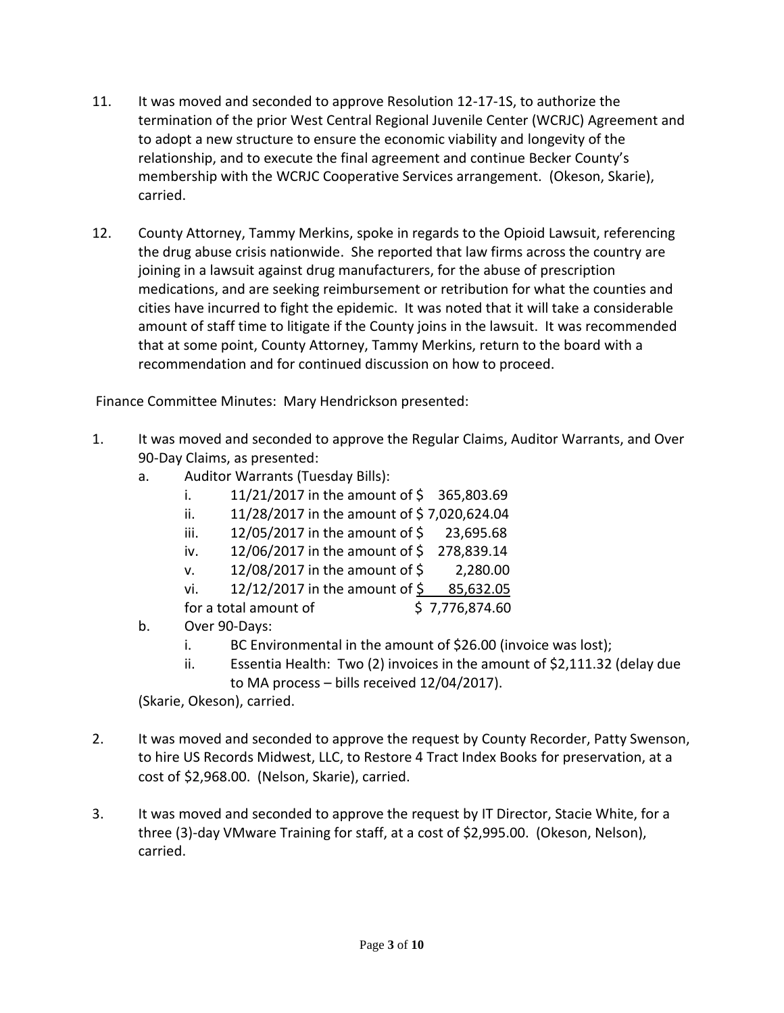- 11. It was moved and seconded to approve Resolution 12-17-1S, to authorize the termination of the prior West Central Regional Juvenile Center (WCRJC) Agreement and to adopt a new structure to ensure the economic viability and longevity of the relationship, and to execute the final agreement and continue Becker County's membership with the WCRJC Cooperative Services arrangement. (Okeson, Skarie), carried.
- 12. County Attorney, Tammy Merkins, spoke in regards to the Opioid Lawsuit, referencing the drug abuse crisis nationwide. She reported that law firms across the country are joining in a lawsuit against drug manufacturers, for the abuse of prescription medications, and are seeking reimbursement or retribution for what the counties and cities have incurred to fight the epidemic. It was noted that it will take a considerable amount of staff time to litigate if the County joins in the lawsuit. It was recommended that at some point, County Attorney, Tammy Merkins, return to the board with a recommendation and for continued discussion on how to proceed.

Finance Committee Minutes: Mary Hendrickson presented:

- 1. It was moved and seconded to approve the Regular Claims, Auditor Warrants, and Over 90-Day Claims, as presented:
	- a. Auditor Warrants (Tuesday Bills):
		- i.  $11/21/2017$  in the amount of  $\frac{1}{5}$  365,803.69
		- ii.  $11/28/2017$  in the amount of \$7,020,624.04
		- iii.  $12/05/2017$  in the amount of  $\frac{2}{5}$  23,695.68
		- iv. 12/06/2017 in the amount of \$278,839.14
		- v. 12/08/2017 in the amount of \$ 2,280.00
		- vi. 12/12/2017 in the amount of  $\frac{6}{5}$  85,632.05
		- for a total amount of  $\qquad \qquad$  \$ 7,776,874.60
	- b. Over 90-Days:
		- i. BC Environmental in the amount of \$26.00 (invoice was lost);
		- ii. Essentia Health: Two (2) invoices in the amount of \$2,111.32 (delay due to MA process – bills received 12/04/2017).

(Skarie, Okeson), carried.

- 2. It was moved and seconded to approve the request by County Recorder, Patty Swenson, to hire US Records Midwest, LLC, to Restore 4 Tract Index Books for preservation, at a cost of \$2,968.00. (Nelson, Skarie), carried.
- 3. It was moved and seconded to approve the request by IT Director, Stacie White, for a three (3)-day VMware Training for staff, at a cost of \$2,995.00. (Okeson, Nelson), carried.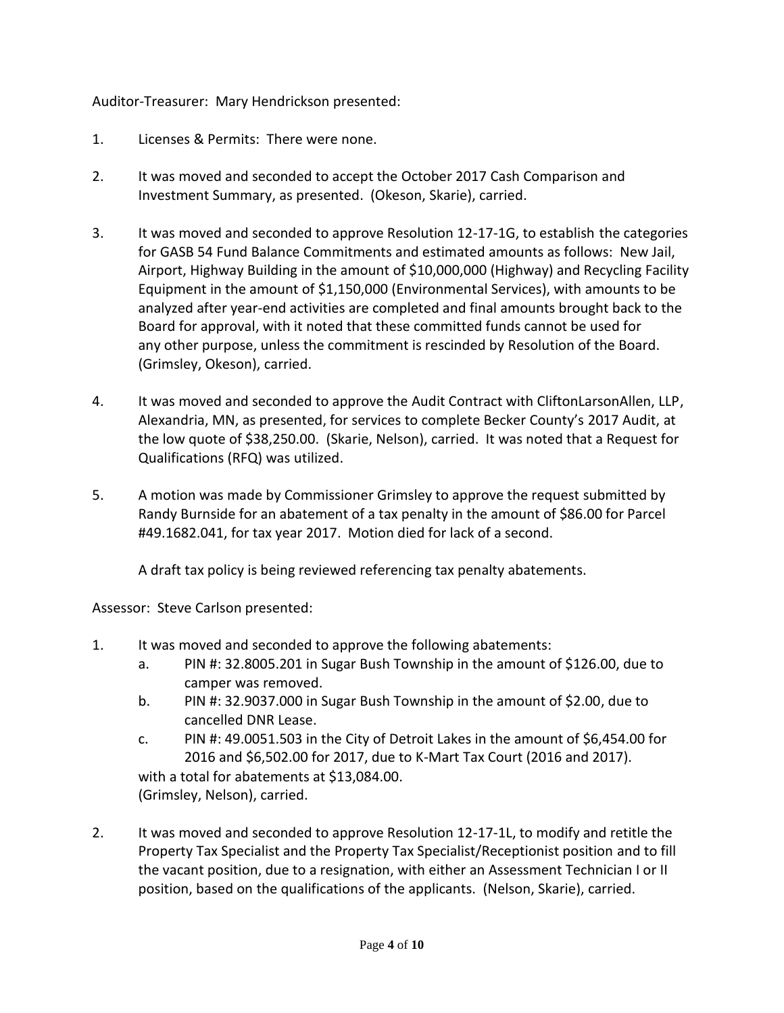Auditor-Treasurer: Mary Hendrickson presented:

- 1. Licenses & Permits: There were none.
- 2. It was moved and seconded to accept the October 2017 Cash Comparison and Investment Summary, as presented. (Okeson, Skarie), carried.
- 3. It was moved and seconded to approve Resolution 12-17-1G, to establish the categories for GASB 54 Fund Balance Commitments and estimated amounts as follows: New Jail, Airport, Highway Building in the amount of \$10,000,000 (Highway) and Recycling Facility Equipment in the amount of \$1,150,000 (Environmental Services), with amounts to be analyzed after year-end activities are completed and final amounts brought back to the Board for approval, with it noted that these committed funds cannot be used for any other purpose, unless the commitment is rescinded by Resolution of the Board. (Grimsley, Okeson), carried.
- 4. It was moved and seconded to approve the Audit Contract with CliftonLarsonAllen, LLP, Alexandria, MN, as presented, for services to complete Becker County's 2017 Audit, at the low quote of \$38,250.00. (Skarie, Nelson), carried. It was noted that a Request for Qualifications (RFQ) was utilized.
- 5. A motion was made by Commissioner Grimsley to approve the request submitted by Randy Burnside for an abatement of a tax penalty in the amount of \$86.00 for Parcel #49.1682.041, for tax year 2017. Motion died for lack of a second.

A draft tax policy is being reviewed referencing tax penalty abatements.

Assessor: Steve Carlson presented:

- 1. It was moved and seconded to approve the following abatements:
	- a. PIN #: 32.8005.201 in Sugar Bush Township in the amount of \$126.00, due to camper was removed.
	- b. PIN #: 32.9037.000 in Sugar Bush Township in the amount of \$2.00, due to cancelled DNR Lease.
	- c. PIN #: 49.0051.503 in the City of Detroit Lakes in the amount of \$6,454.00 for 2016 and \$6,502.00 for 2017, due to K-Mart Tax Court (2016 and 2017). with a total for abatements at \$13,084.00. (Grimsley, Nelson), carried.
- 2. It was moved and seconded to approve Resolution 12-17-1L, to modify and retitle the Property Tax Specialist and the Property Tax Specialist/Receptionist position and to fill the vacant position, due to a resignation, with either an Assessment Technician I or II position, based on the qualifications of the applicants. (Nelson, Skarie), carried.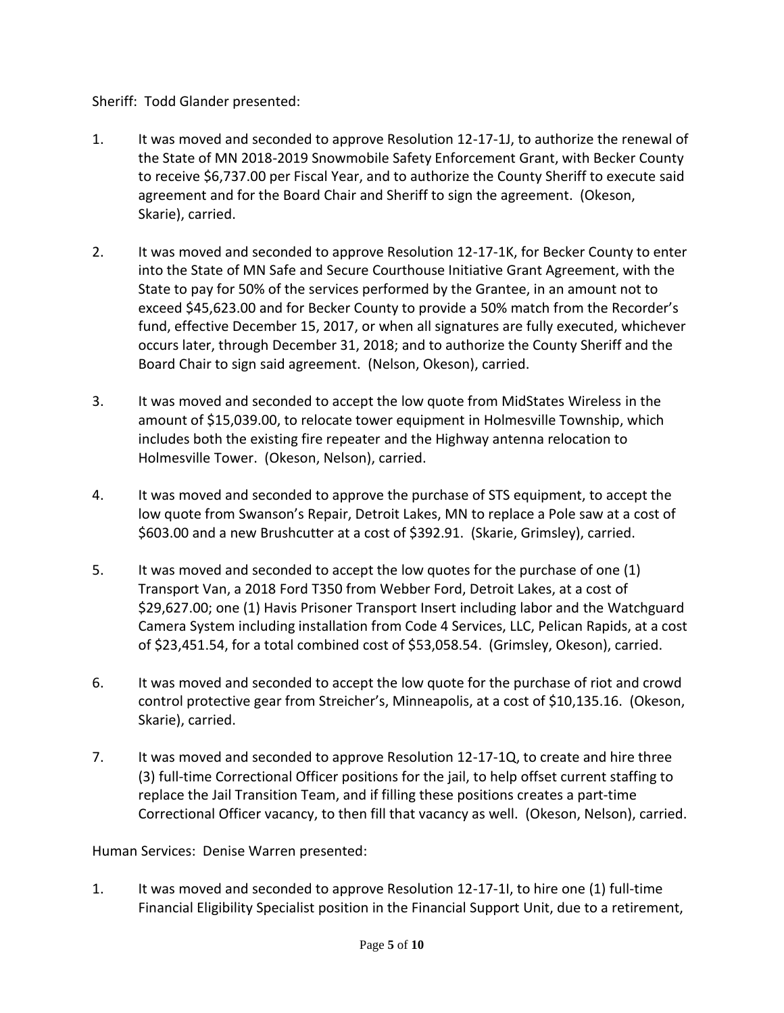Sheriff: Todd Glander presented:

- 1. It was moved and seconded to approve Resolution 12-17-1J, to authorize the renewal of the State of MN 2018-2019 Snowmobile Safety Enforcement Grant, with Becker County to receive \$6,737.00 per Fiscal Year, and to authorize the County Sheriff to execute said agreement and for the Board Chair and Sheriff to sign the agreement. (Okeson, Skarie), carried.
- 2. It was moved and seconded to approve Resolution 12-17-1K, for Becker County to enter into the State of MN Safe and Secure Courthouse Initiative Grant Agreement, with the State to pay for 50% of the services performed by the Grantee, in an amount not to exceed \$45,623.00 and for Becker County to provide a 50% match from the Recorder's fund, effective December 15, 2017, or when all signatures are fully executed, whichever occurs later, through December 31, 2018; and to authorize the County Sheriff and the Board Chair to sign said agreement. (Nelson, Okeson), carried.
- 3. It was moved and seconded to accept the low quote from MidStates Wireless in the amount of \$15,039.00, to relocate tower equipment in Holmesville Township, which includes both the existing fire repeater and the Highway antenna relocation to Holmesville Tower. (Okeson, Nelson), carried.
- 4. It was moved and seconded to approve the purchase of STS equipment, to accept the low quote from Swanson's Repair, Detroit Lakes, MN to replace a Pole saw at a cost of \$603.00 and a new Brushcutter at a cost of \$392.91. (Skarie, Grimsley), carried.
- 5. It was moved and seconded to accept the low quotes for the purchase of one (1) Transport Van, a 2018 Ford T350 from Webber Ford, Detroit Lakes, at a cost of \$29,627.00; one (1) Havis Prisoner Transport Insert including labor and the Watchguard Camera System including installation from Code 4 Services, LLC, Pelican Rapids, at a cost of \$23,451.54, for a total combined cost of \$53,058.54. (Grimsley, Okeson), carried.
- 6. It was moved and seconded to accept the low quote for the purchase of riot and crowd control protective gear from Streicher's, Minneapolis, at a cost of \$10,135.16. (Okeson, Skarie), carried.
- 7. It was moved and seconded to approve Resolution 12-17-1Q, to create and hire three (3) full-time Correctional Officer positions for the jail, to help offset current staffing to replace the Jail Transition Team, and if filling these positions creates a part-time Correctional Officer vacancy, to then fill that vacancy as well.(Okeson, Nelson), carried.

Human Services: Denise Warren presented:

1. It was moved and seconded to approve Resolution 12-17-1I, to hire one (1) full-time Financial Eligibility Specialist position in the Financial Support Unit, due to a retirement,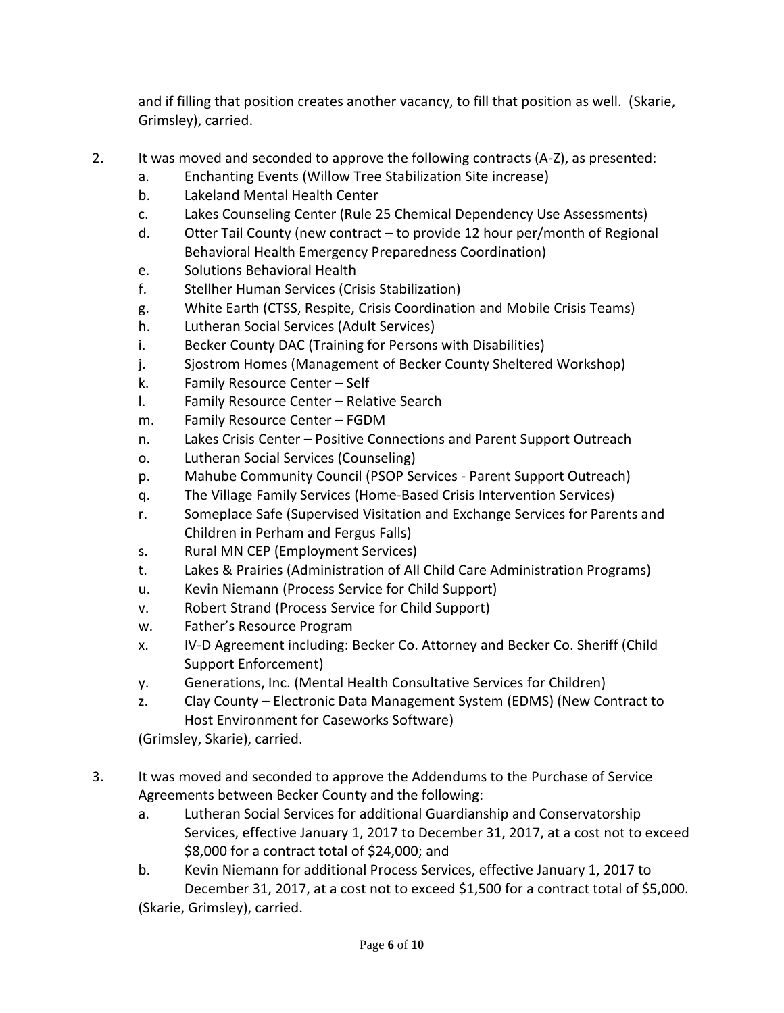and if filling that position creates another vacancy, to fill that position as well. (Skarie, Grimsley), carried.

- 2. It was moved and seconded to approve the following contracts (A-Z), as presented:
	- a. Enchanting Events (Willow Tree Stabilization Site increase)
	- b. Lakeland Mental Health Center
	- c. Lakes Counseling Center (Rule 25 Chemical Dependency Use Assessments)
	- d. Otter Tail County (new contract to provide 12 hour per/month of Regional Behavioral Health Emergency Preparedness Coordination)
	- e. Solutions Behavioral Health
	- f. Stellher Human Services (Crisis Stabilization)
	- g. White Earth (CTSS, Respite, Crisis Coordination and Mobile Crisis Teams)
	- h. Lutheran Social Services (Adult Services)
	- i. Becker County DAC (Training for Persons with Disabilities)
	- j. Sjostrom Homes (Management of Becker County Sheltered Workshop)
	- k. Family Resource Center Self
	- l. Family Resource Center Relative Search
	- m. Family Resource Center FGDM
	- n. Lakes Crisis Center Positive Connections and Parent Support Outreach
	- o. Lutheran Social Services (Counseling)
	- p. Mahube Community Council (PSOP Services Parent Support Outreach)
	- q. The Village Family Services (Home-Based Crisis Intervention Services)
	- r. Someplace Safe (Supervised Visitation and Exchange Services for Parents and Children in Perham and Fergus Falls)
	- s. Rural MN CEP (Employment Services)
	- t. Lakes & Prairies (Administration of All Child Care Administration Programs)
	- u. Kevin Niemann (Process Service for Child Support)
	- v. Robert Strand (Process Service for Child Support)
	- w. Father's Resource Program
	- x. IV-D Agreement including: Becker Co. Attorney and Becker Co. Sheriff (Child Support Enforcement)
	- y. Generations, Inc. (Mental Health Consultative Services for Children)
	- z. Clay County Electronic Data Management System (EDMS) (New Contract to Host Environment for Caseworks Software)

(Grimsley, Skarie), carried.

- 3. It was moved and seconded to approve the Addendums to the Purchase of Service Agreements between Becker County and the following:
	- a. Lutheran Social Services for additional Guardianship and Conservatorship Services, effective January 1, 2017 to December 31, 2017, at a cost not to exceed \$8,000 for a contract total of \$24,000; and
	- b. Kevin Niemann for additional Process Services, effective January 1, 2017 to December 31, 2017, at a cost not to exceed \$1,500 for a contract total of \$5,000. (Skarie, Grimsley), carried.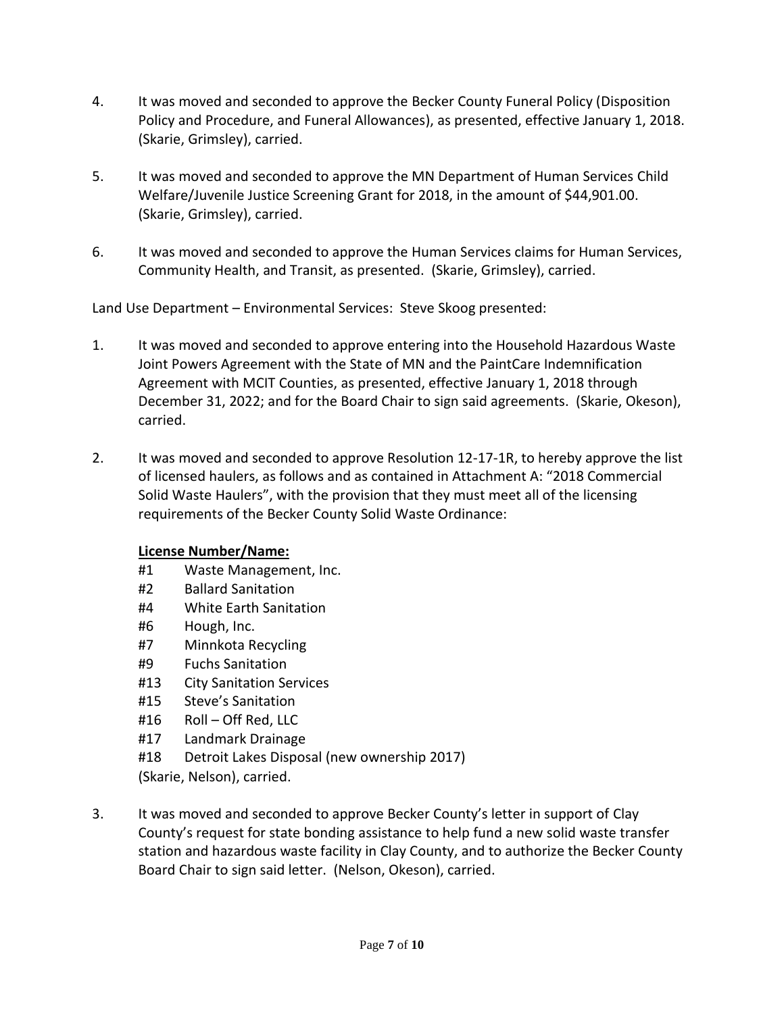- 4. It was moved and seconded to approve the Becker County Funeral Policy (Disposition Policy and Procedure, and Funeral Allowances), as presented, effective January 1, 2018. (Skarie, Grimsley), carried.
- 5. It was moved and seconded to approve the MN Department of Human Services Child Welfare/Juvenile Justice Screening Grant for 2018, in the amount of \$44,901.00. (Skarie, Grimsley), carried.
- 6. It was moved and seconded to approve the Human Services claims for Human Services, Community Health, and Transit, as presented. (Skarie, Grimsley), carried.

Land Use Department – Environmental Services: Steve Skoog presented:

- 1. It was moved and seconded to approve entering into the Household Hazardous Waste Joint Powers Agreement with the State of MN and the PaintCare Indemnification Agreement with MCIT Counties, as presented, effective January 1, 2018 through December 31, 2022; and for the Board Chair to sign said agreements. (Skarie, Okeson), carried.
- 2. It was moved and seconded to approve Resolution 12-17-1R, to hereby approve the list of licensed haulers, as follows and as contained in Attachment A: "2018 Commercial Solid Waste Haulers", with the provision that they must meet all of the licensing requirements of the Becker County Solid Waste Ordinance:

## **License Number/Name:**

- #1 Waste Management, Inc.
- #2 Ballard Sanitation
- #4 White Earth Sanitation
- #6 Hough, Inc.
- #7 Minnkota Recycling
- #9 Fuchs Sanitation
- #13 City Sanitation Services
- #15 Steve's Sanitation
- #16 Roll Off Red, LLC
- #17 Landmark Drainage
- #18 Detroit Lakes Disposal (new ownership 2017)
- (Skarie, Nelson), carried.
- 3. It was moved and seconded to approve Becker County's letter in support of Clay County's request for state bonding assistance to help fund a new solid waste transfer station and hazardous waste facility in Clay County, and to authorize the Becker County Board Chair to sign said letter. (Nelson, Okeson), carried.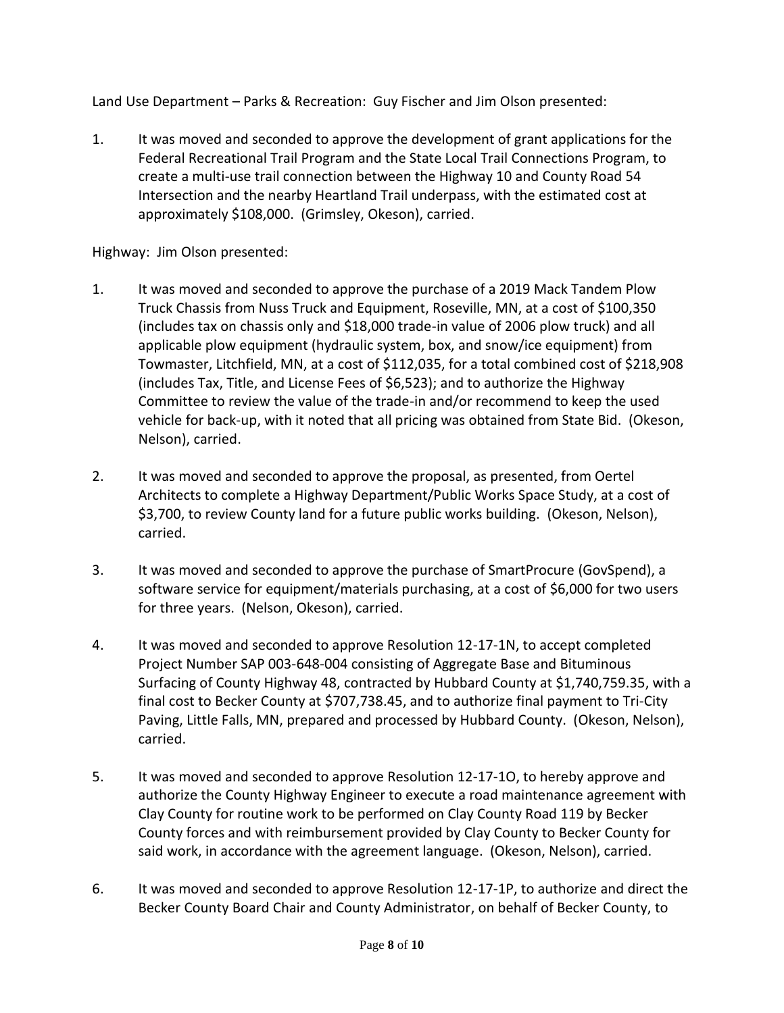Land Use Department – Parks & Recreation: Guy Fischer and Jim Olson presented:

1. It was moved and seconded to approve the development of grant applications for the Federal Recreational Trail Program and the State Local Trail Connections Program, to create a multi-use trail connection between the Highway 10 and County Road 54 Intersection and the nearby Heartland Trail underpass, with the estimated cost at approximately \$108,000. (Grimsley, Okeson), carried.

Highway: Jim Olson presented:

- 1. It was moved and seconded to approve the purchase of a 2019 Mack Tandem Plow Truck Chassis from Nuss Truck and Equipment, Roseville, MN, at a cost of \$100,350 (includes tax on chassis only and \$18,000 trade-in value of 2006 plow truck) and all applicable plow equipment (hydraulic system, box, and snow/ice equipment) from Towmaster, Litchfield, MN, at a cost of \$112,035, for a total combined cost of \$218,908 (includes Tax, Title, and License Fees of \$6,523); and to authorize the Highway Committee to review the value of the trade-in and/or recommend to keep the used vehicle for back-up, with it noted that all pricing was obtained from State Bid. (Okeson, Nelson), carried.
- 2. It was moved and seconded to approve the proposal, as presented, from Oertel Architects to complete a Highway Department/Public Works Space Study, at a cost of \$3,700, to review County land for a future public works building. (Okeson, Nelson), carried.
- 3. It was moved and seconded to approve the purchase of SmartProcure (GovSpend), a software service for equipment/materials purchasing, at a cost of \$6,000 for two users for three years. (Nelson, Okeson), carried.
- 4. It was moved and seconded to approve Resolution 12-17-1N, to accept completed Project Number SAP 003-648-004 consisting of Aggregate Base and Bituminous Surfacing of County Highway 48, contracted by Hubbard County at \$1,740,759.35, with a final cost to Becker County at \$707,738.45, and to authorize final payment to Tri-City Paving, Little Falls, MN, prepared and processed by Hubbard County. (Okeson, Nelson), carried.
- 5. It was moved and seconded to approve Resolution 12-17-1O, to hereby approve and authorize the County Highway Engineer to execute a road maintenance agreement with Clay County for routine work to be performed on Clay County Road 119 by Becker County forces and with reimbursement provided by Clay County to Becker County for said work, in accordance with the agreement language. (Okeson, Nelson), carried.
- 6. It was moved and seconded to approve Resolution 12-17-1P, to authorize and direct the Becker County Board Chair and County Administrator, on behalf of Becker County, to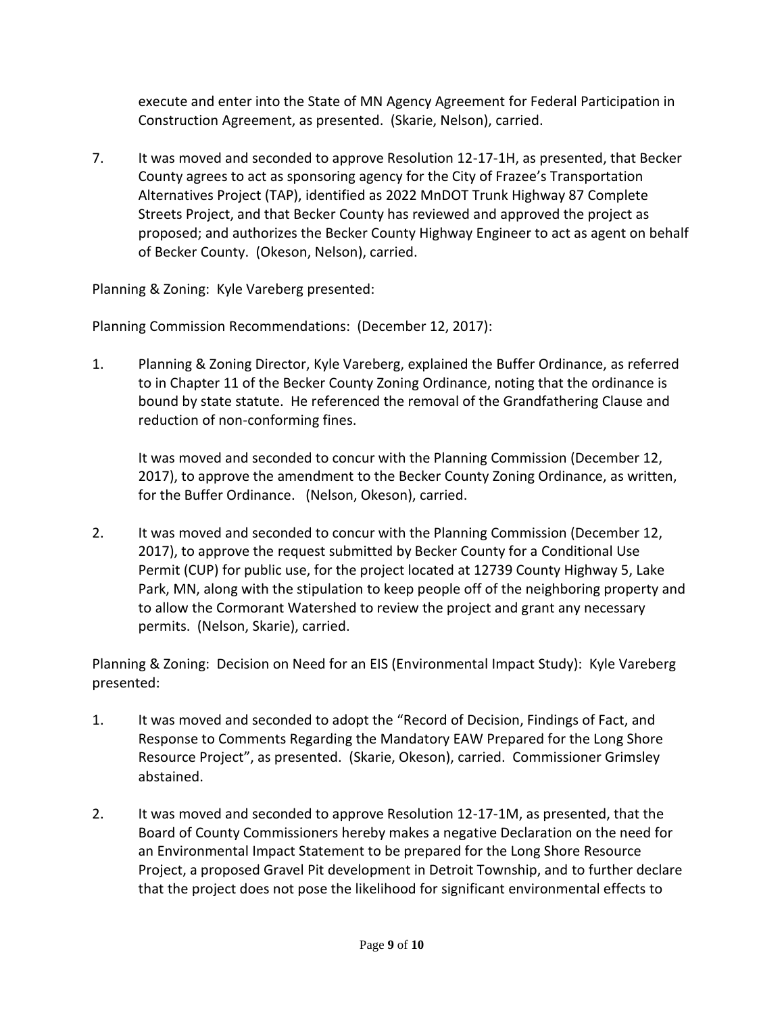execute and enter into the State of MN Agency Agreement for Federal Participation in Construction Agreement, as presented. (Skarie, Nelson), carried.

7. It was moved and seconded to approve Resolution 12-17-1H, as presented, that Becker County agrees to act as sponsoring agency for the City of Frazee's Transportation Alternatives Project (TAP), identified as 2022 MnDOT Trunk Highway 87 Complete Streets Project, and that Becker County has reviewed and approved the project as proposed; and authorizes the Becker County Highway Engineer to act as agent on behalf of Becker County. (Okeson, Nelson), carried.

Planning & Zoning: Kyle Vareberg presented:

Planning Commission Recommendations: (December 12, 2017):

1. Planning & Zoning Director, Kyle Vareberg, explained the Buffer Ordinance, as referred to in Chapter 11 of the Becker County Zoning Ordinance, noting that the ordinance is bound by state statute. He referenced the removal of the Grandfathering Clause and reduction of non-conforming fines.

It was moved and seconded to concur with the Planning Commission (December 12, 2017), to approve the amendment to the Becker County Zoning Ordinance, as written, for the Buffer Ordinance. (Nelson, Okeson), carried.

2. It was moved and seconded to concur with the Planning Commission (December 12, 2017), to approve the request submitted by Becker County for a Conditional Use Permit (CUP) for public use, for the project located at 12739 County Highway 5, Lake Park, MN, along with the stipulation to keep people off of the neighboring property and to allow the Cormorant Watershed to review the project and grant any necessary permits. (Nelson, Skarie), carried.

Planning & Zoning: Decision on Need for an EIS (Environmental Impact Study): Kyle Vareberg presented:

- 1. It was moved and seconded to adopt the "Record of Decision, Findings of Fact, and Response to Comments Regarding the Mandatory EAW Prepared for the Long Shore Resource Project", as presented. (Skarie, Okeson), carried. Commissioner Grimsley abstained.
- 2. It was moved and seconded to approve Resolution 12-17-1M, as presented, that the Board of County Commissioners hereby makes a negative Declaration on the need for an Environmental Impact Statement to be prepared for the Long Shore Resource Project, a proposed Gravel Pit development in Detroit Township, and to further declare that the project does not pose the likelihood for significant environmental effects to